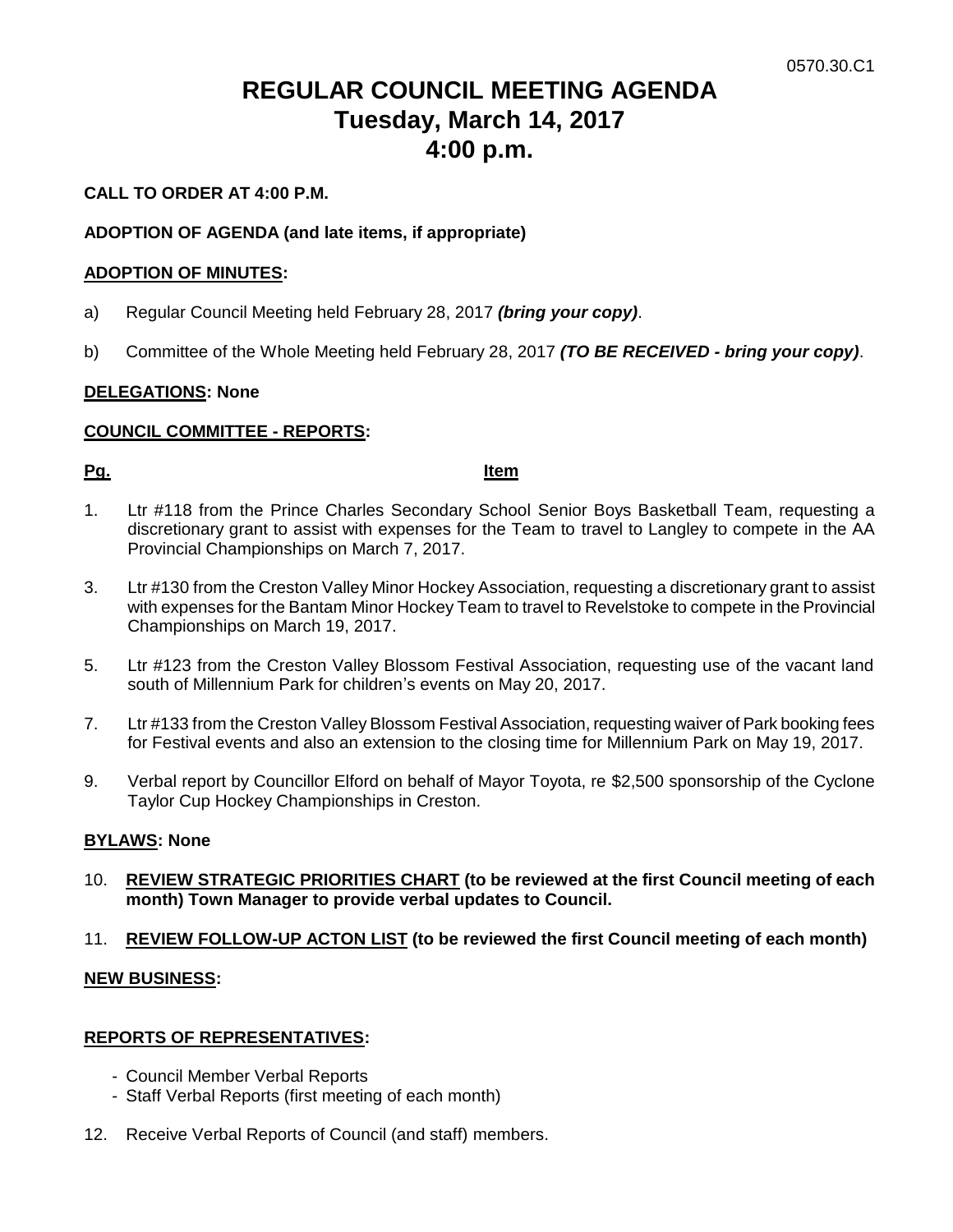# **REGULAR COUNCIL MEETING AGENDA Tuesday, March 14, 2017 4:00 p.m.**

# **CALL TO ORDER AT 4:00 P.M.**

## **ADOPTION OF AGENDA (and late items, if appropriate)**

#### **ADOPTION OF MINUTES:**

- a) Regular Council Meeting held February 28, 2017 *(bring your copy)*.
- b) Committee of the Whole Meeting held February 28, 2017 *(TO BE RECEIVED - bring your copy)*.

# **DELEGATIONS: None**

## **COUNCIL COMMITTEE - REPORTS:**

#### **Pg. Item**

- 1. Ltr #118 from the Prince Charles Secondary School Senior Boys Basketball Team, requesting a discretionary grant to assist with expenses for the Team to travel to Langley to compete in the AA Provincial Championships on March 7, 2017.
- 3. Ltr #130 from the Creston Valley Minor Hockey Association, requesting a discretionary grant to assist with expenses for the Bantam Minor Hockey Team to travel to Revelstoke to compete in the Provincial Championships on March 19, 2017.
- 5. Ltr #123 from the Creston Valley Blossom Festival Association, requesting use of the vacant land south of Millennium Park for children's events on May 20, 2017.
- 7. Ltr #133 from the Creston Valley Blossom Festival Association, requesting waiver of Park booking fees for Festival events and also an extension to the closing time for Millennium Park on May 19, 2017.
- 9. Verbal report by Councillor Elford on behalf of Mayor Toyota, re \$2,500 sponsorship of the Cyclone Taylor Cup Hockey Championships in Creston.

# **BYLAWS: None**

- 10. **REVIEW STRATEGIC PRIORITIES CHART (to be reviewed at the first Council meeting of each month) Town Manager to provide verbal updates to Council.**
- 11. **REVIEW FOLLOW-UP ACTON LIST (to be reviewed the first Council meeting of each month)**

#### **NEW BUSINESS:**

#### **REPORTS OF REPRESENTATIVES:**

- Council Member Verbal Reports
- Staff Verbal Reports (first meeting of each month)
- 12. Receive Verbal Reports of Council (and staff) members.